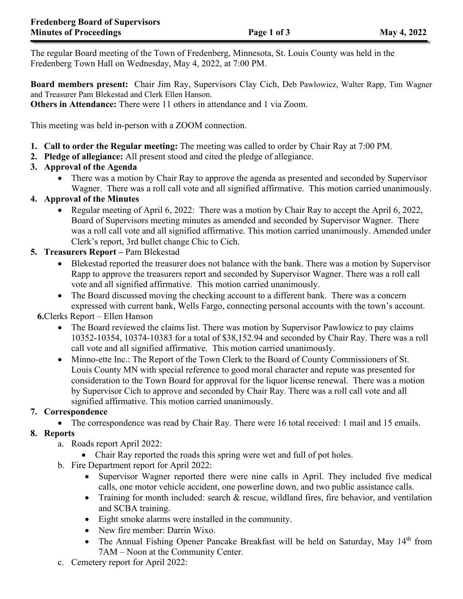The regular Board meeting of the Town of Fredenberg, Minnesota, St. Louis County was held in the Fredenberg Town Hall on Wednesday, May 4, 2022, at 7:00 PM.

**Board members present:** Chair Jim Ray, Supervisors Clay Cich, Deb Pawlowicz, Walter Rapp, Tim Wagner and Treasurer Pam Blekestad and Clerk Ellen Hanson.

**Others in Attendance:** There were 11 others in attendance and 1 via Zoom.

This meeting was held in-person with a ZOOM connection.

- **1. Call to order the Regular meeting:** The meeting was called to order by Chair Ray at 7:00 PM.
- **2. Pledge of allegiance:** All present stood and cited the pledge of allegiance.

## **3. Approval of the Agenda**

• There was a motion by Chair Ray to approve the agenda as presented and seconded by Supervisor Wagner. There was a roll call vote and all signified affirmative. This motion carried unanimously.

## **4. Approval of the Minutes**

• Regular meeting of April 6, 2022: There was a motion by Chair Ray to accept the April 6, 2022, Board of Supervisors meeting minutes as amended and seconded by Supervisor Wagner. There was a roll call vote and all signified affirmative. This motion carried unanimously. Amended under Clerk's report, 3rd bullet change Chic to Cich.

## **5. Treasurers Report –** Pam Blekestad

- Blekestad reported the treasurer does not balance with the bank. There was a motion by Supervisor Rapp to approve the treasurers report and seconded by Supervisor Wagner. There was a roll call vote and all signified affirmative. This motion carried unanimously.
- The Board discussed moving the checking account to a different bank. There was a concern expressed with current bank, Wells Fargo, connecting personal accounts with the town's account.

## **6.**Clerks Report – Ellen Hanson

- The Board reviewed the claims list. There was motion by Supervisor Pawlowicz to pay claims 10352-10354, 10374-10383 for a total of \$38,152.94 and seconded by Chair Ray. There was a roll call vote and all signified affirmative. This motion carried unanimously.
- Minno-ette Inc.: The Report of the Town Clerk to the Board of County Commissioners of St. Louis County MN with special reference to good moral character and repute was presented for consideration to the Town Board for approval for the liquor license renewal. There was a motion by Supervisor Cich to approve and seconded by Chair Ray. There was a roll call vote and all signified affirmative. This motion carried unanimously.

## **7. Correspondence**

• The correspondence was read by Chair Ray. There were 16 total received: 1 mail and 15 emails.

## **8. Reports**

- a. Roads report April 2022:
	- Chair Ray reported the roads this spring were wet and full of pot holes.
- b. Fire Department report for April 2022:
	- Supervisor Wagner reported there were nine calls in April. They included five medical calls, one motor vehicle accident, one powerline down, and two public assistance calls.
	- Training for month included: search & rescue, wildland fires, fire behavior, and ventilation and SCBA training.
	- Eight smoke alarms were installed in the community.
	- New fire member: Darrin Wixo.
	- The Annual Fishing Opener Pancake Breakfast will be held on Saturday, May 14<sup>th</sup> from 7AM – Noon at the Community Center.
- c. Cemetery report for April 2022: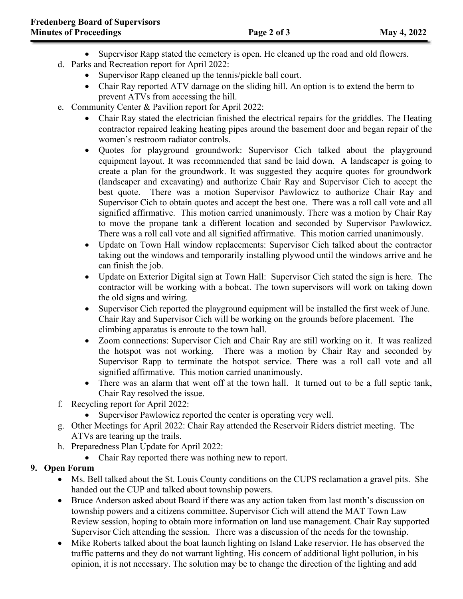- Supervisor Rapp stated the cemetery is open. He cleaned up the road and old flowers.
- d. Parks and Recreation report for April 2022:
	- Supervisor Rapp cleaned up the tennis/pickle ball court.
	- Chair Ray reported ATV damage on the sliding hill. An option is to extend the berm to prevent ATVs from accessing the hill.
- e. Community Center & Pavilion report for April 2022:
	- Chair Ray stated the electrician finished the electrical repairs for the griddles. The Heating contractor repaired leaking heating pipes around the basement door and began repair of the women's restroom radiator controls.
	- Quotes for playground groundwork: Supervisor Cich talked about the playground equipment layout. It was recommended that sand be laid down. A landscaper is going to create a plan for the groundwork. It was suggested they acquire quotes for groundwork (landscaper and excavating) and authorize Chair Ray and Supervisor Cich to accept the best quote. There was a motion Supervisor Pawlowicz to authorize Chair Ray and Supervisor Cich to obtain quotes and accept the best one. There was a roll call vote and all signified affirmative. This motion carried unanimously. There was a motion by Chair Ray to move the propane tank a different location and seconded by Supervisor Pawlowicz. There was a roll call vote and all signified affirmative. This motion carried unanimously.
	- Update on Town Hall window replacements: Supervisor Cich talked about the contractor taking out the windows and temporarily installing plywood until the windows arrive and he can finish the job.
	- Update on Exterior Digital sign at Town Hall: Supervisor Cich stated the sign is here. The contractor will be working with a bobcat. The town supervisors will work on taking down the old signs and wiring.
	- Supervisor Cich reported the playground equipment will be installed the first week of June. Chair Ray and Supervisor Cich will be working on the grounds before placement. The climbing apparatus is enroute to the town hall.
	- Zoom connections: Supervisor Cich and Chair Ray are still working on it. It was realized the hotspot was not working. There was a motion by Chair Ray and seconded by Supervisor Rapp to terminate the hotspot service. There was a roll call vote and all signified affirmative. This motion carried unanimously.
	- There was an alarm that went off at the town hall. It turned out to be a full septic tank, Chair Ray resolved the issue.
- f. Recycling report for April 2022:
	- Supervisor Pawlowicz reported the center is operating very well.
- g. Other Meetings for April 2022: Chair Ray attended the Reservoir Riders district meeting. The ATVs are tearing up the trails.
- h. Preparedness Plan Update for April 2022:
	- Chair Ray reported there was nothing new to report.

# **9. Open Forum**

- Ms. Bell talked about the St. Louis County conditions on the CUPS reclamation a gravel pits. She handed out the CUP and talked about township powers.
- Bruce Anderson asked about Board if there was any action taken from last month's discussion on township powers and a citizens committee. Supervisor Cich will attend the MAT Town Law Review session, hoping to obtain more information on land use management. Chair Ray supported Supervisor Cich attending the session. There was a discussion of the needs for the township.
- Mike Roberts talked about the boat launch lighting on Island Lake reservior. He has observed the traffic patterns and they do not warrant lighting. His concern of additional light pollution, in his opinion, it is not necessary. The solution may be to change the direction of the lighting and add